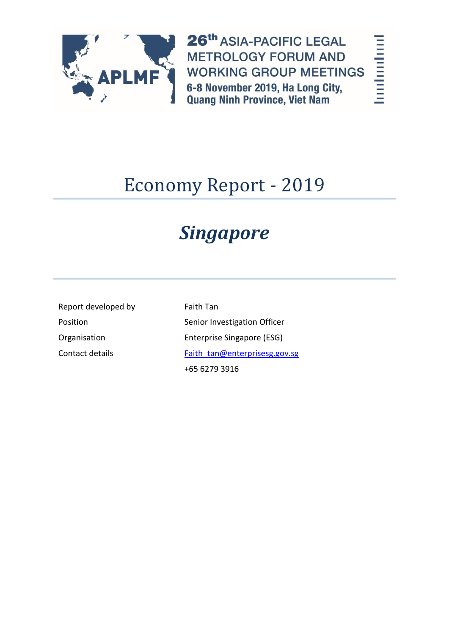

26th ASIA-PACIFIC LEGAL **METROLOGY FORUM AND WORKING GROUP MEETINGS** 6-8 November 2019, Ha Long City, **Quang Ninh Province, Viet Nam** 

# hardmathart

# Economy Report - 2019

# *Singapore*

Report developed by Faith Tan

Position **Senior Investigation Officer** Senior Investigation Officer Organisation Enterprise Singapore (ESG) Contact details [Faith\\_tan@enterprisesg.gov.sg](mailto:Faith_tan@enterprisesg.gov.sg) +65 6279 3916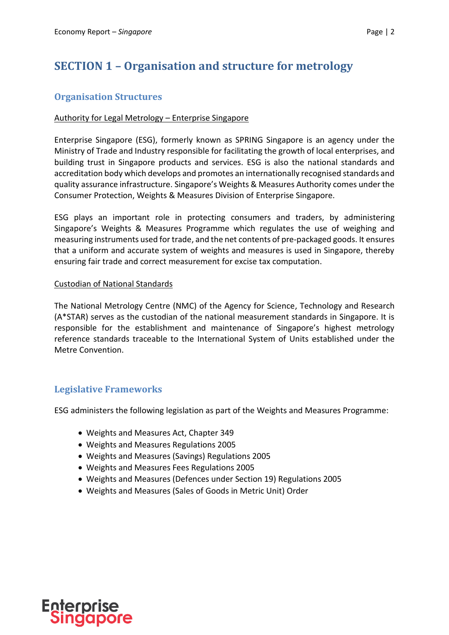## **SECTION 1 – Organisation and structure for metrology**

#### **Organisation Structures**

#### Authority for Legal Metrology – Enterprise Singapore

Enterprise Singapore (ESG), formerly known as SPRING Singapore is an agency under the Ministry of Trade and Industry responsible for facilitating the growth of local enterprises, and building trust in Singapore products and services. ESG is also the national standards and accreditation body which develops and promotes an internationally recognised standards and quality assurance infrastructure. Singapore's Weights & Measures Authority comes under the Consumer Protection, Weights & Measures Division of Enterprise Singapore.

ESG plays an important role in protecting consumers and traders, by administering Singapore's Weights & Measures Programme which regulates the use of weighing and measuring instruments used for trade, and the net contents of pre-packaged goods. It ensures that a uniform and accurate system of weights and measures is used in Singapore, thereby ensuring fair trade and correct measurement for excise tax computation.

#### Custodian of National Standards

The National Metrology Centre (NMC) of the Agency for Science, Technology and Research (A\*STAR) serves as the custodian of the national measurement standards in Singapore. It is responsible for the establishment and maintenance of Singapore's highest metrology reference standards traceable to the International System of Units established under the Metre Convention.

#### **Legislative Frameworks**

ESG administers the following legislation as part of the Weights and Measures Programme:

- Weights and Measures Act, Chapter 349
- Weights and Measures Regulations 2005
- Weights and Measures (Savings) Regulations 2005
- Weights and Measures Fees Regulations 2005
- Weights and Measures (Defences under Section 19) Regulations 2005
- Weights and Measures (Sales of Goods in Metric Unit) Order

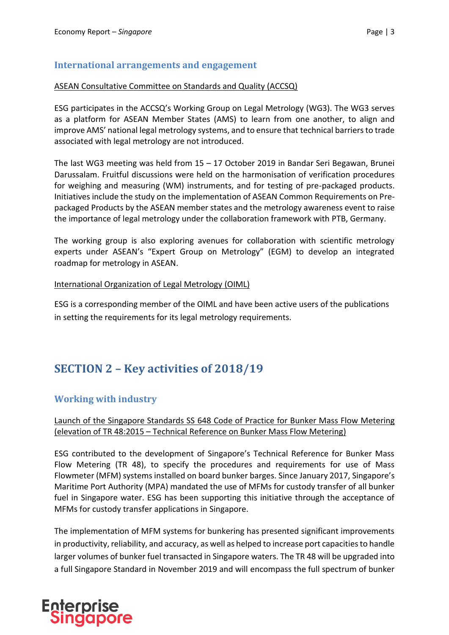#### **International arrangements and engagement**

#### ASEAN Consultative Committee on Standards and Quality (ACCSQ)

ESG participates in the ACCSQ's Working Group on Legal Metrology (WG3). The WG3 serves as a platform for ASEAN Member States (AMS) to learn from one another, to align and improve AMS' national legal metrology systems, and to ensure that technical barriers to trade associated with legal metrology are not introduced.

The last WG3 meeting was held from 15 – 17 October 2019 in Bandar Seri Begawan, Brunei Darussalam. Fruitful discussions were held on the harmonisation of verification procedures for weighing and measuring (WM) instruments, and for testing of pre-packaged products. Initiatives include the study on the implementation of ASEAN Common Requirements on Prepackaged Products by the ASEAN member states and the metrology awareness event to raise the importance of legal metrology under the collaboration framework with PTB, Germany.

The working group is also exploring avenues for collaboration with scientific metrology experts under ASEAN's "Expert Group on Metrology" (EGM) to develop an integrated roadmap for metrology in ASEAN.

#### International Organization of Legal Metrology (OIML)

ESG is a corresponding member of the OIML and have been active users of the publications in setting the requirements for its legal metrology requirements.

## **SECTION 2 – Key activities of 2018/19**

#### **Working with industry**

#### Launch of the Singapore Standards SS 648 Code of Practice for Bunker Mass Flow Metering (elevation of TR 48:2015 – Technical Reference on Bunker Mass Flow Metering)

ESG contributed to the development of Singapore's Technical Reference for Bunker Mass Flow Metering (TR 48), to specify the procedures and requirements for use of Mass Flowmeter (MFM) systems installed on board bunker barges. Since January 2017, Singapore's Maritime Port Authority (MPA) mandated the use of MFMs for custody transfer of all bunker fuel in Singapore water. ESG has been supporting this initiative through the acceptance of MFMs for custody transfer applications in Singapore.

The implementation of MFM systems for bunkering has presented significant improvements in productivity, reliability, and accuracy, as well as helped to increase port capacities to handle larger volumes of bunker fuel transacted in Singapore waters. The TR 48 will be upgraded into a full Singapore Standard in November 2019 and will encompass the full spectrum of bunker

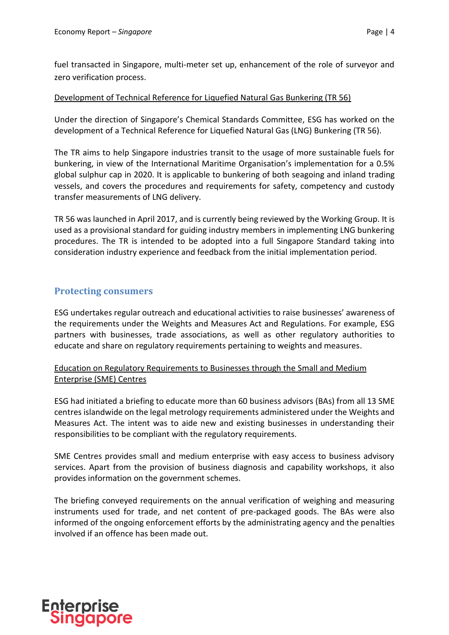fuel transacted in Singapore, multi-meter set up, enhancement of the role of surveyor and zero verification process.

#### Development of Technical Reference for Liquefied Natural Gas Bunkering (TR 56)

Under the direction of Singapore's Chemical Standards Committee, ESG has worked on the development of a Technical Reference for Liquefied Natural Gas (LNG) Bunkering (TR 56).

The TR aims to help Singapore industries transit to the usage of more sustainable fuels for bunkering, in view of the International Maritime Organisation's implementation for a 0.5% global sulphur cap in 2020. It is applicable to bunkering of both seagoing and inland trading vessels, and covers the procedures and requirements for safety, competency and custody transfer measurements of LNG delivery.

TR 56 was launched in April 2017, and is currently being reviewed by the Working Group. It is used as a provisional standard for guiding industry members in implementing LNG bunkering procedures. The TR is intended to be adopted into a full Singapore Standard taking into consideration industry experience and feedback from the initial implementation period.

#### **Protecting consumers**

ESG undertakes regular outreach and educational activities to raise businesses' awareness of the requirements under the Weights and Measures Act and Regulations. For example, ESG partners with businesses, trade associations, as well as other regulatory authorities to educate and share on regulatory requirements pertaining to weights and measures.

#### Education on Regulatory Requirements to Businesses through the Small and Medium Enterprise (SME) Centres

ESG had initiated a briefing to educate more than 60 business advisors (BAs) from all 13 SME centres islandwide on the legal metrology requirements administered under the Weights and Measures Act. The intent was to aide new and existing businesses in understanding their responsibilities to be compliant with the regulatory requirements.

SME Centres provides small and medium enterprise with easy access to business advisory services. Apart from the provision of business diagnosis and capability workshops, it also provides information on the government schemes.

The briefing conveyed requirements on the annual verification of weighing and measuring instruments used for trade, and net content of pre-packaged goods. The BAs were also informed of the ongoing enforcement efforts by the administrating agency and the penalties involved if an offence has been made out.

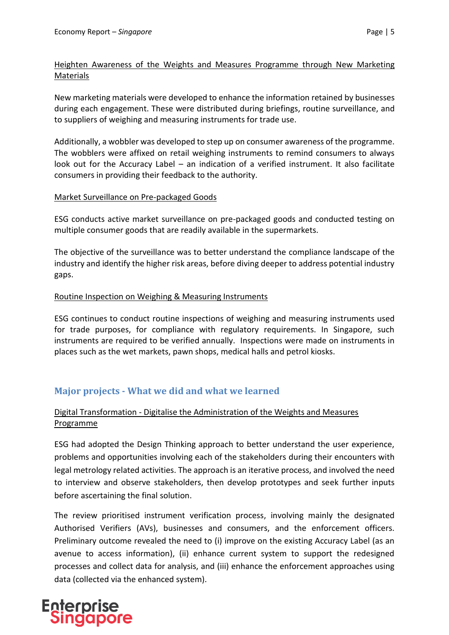#### Heighten Awareness of the Weights and Measures Programme through New Marketing Materials

New marketing materials were developed to enhance the information retained by businesses during each engagement. These were distributed during briefings, routine surveillance, and to suppliers of weighing and measuring instruments for trade use.

Additionally, a wobbler was developed to step up on consumer awareness of the programme. The wobblers were affixed on retail weighing instruments to remind consumers to always look out for the Accuracy Label – an indication of a verified instrument. It also facilitate consumers in providing their feedback to the authority.

#### Market Surveillance on Pre-packaged Goods

ESG conducts active market surveillance on pre-packaged goods and conducted testing on multiple consumer goods that are readily available in the supermarkets.

The objective of the surveillance was to better understand the compliance landscape of the industry and identify the higher risk areas, before diving deeper to address potential industry gaps.

#### Routine Inspection on Weighing & Measuring Instruments

ESG continues to conduct routine inspections of weighing and measuring instruments used for trade purposes, for compliance with regulatory requirements. In Singapore, such instruments are required to be verified annually. Inspections were made on instruments in places such as the wet markets, pawn shops, medical halls and petrol kiosks.

#### **Major projects - What we did and what we learned**

#### Digital Transformation - Digitalise the Administration of the Weights and Measures Programme

ESG had adopted the Design Thinking approach to better understand the user experience, problems and opportunities involving each of the stakeholders during their encounters with legal metrology related activities. The approach is an iterative process, and involved the need to interview and observe stakeholders, then develop prototypes and seek further inputs before ascertaining the final solution.

The review prioritised instrument verification process, involving mainly the designated Authorised Verifiers (AVs), businesses and consumers, and the enforcement officers. Preliminary outcome revealed the need to (i) improve on the existing Accuracy Label (as an avenue to access information), (ii) enhance current system to support the redesigned processes and collect data for analysis, and (iii) enhance the enforcement approaches using data (collected via the enhanced system).